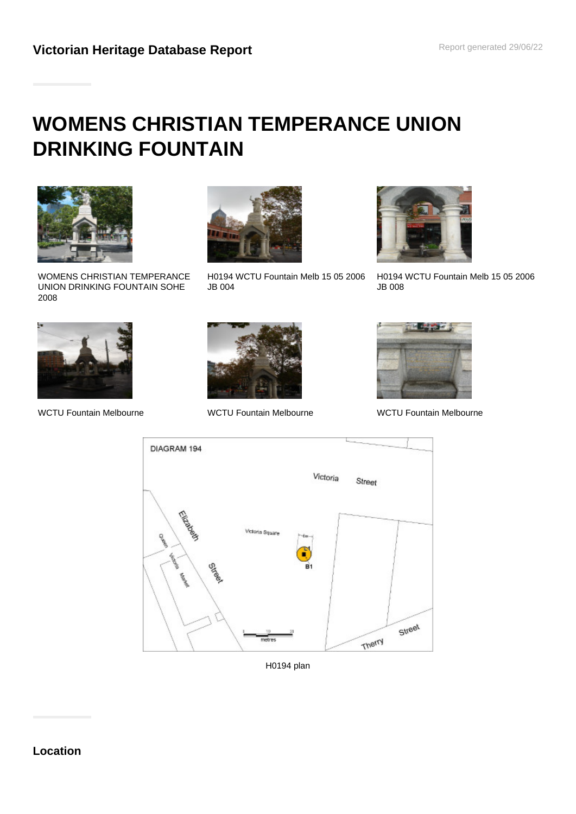# **WOMENS CHRISTIAN TEMPERANCE UNION DRINKING FOUNTAIN**



WOMENS CHRISTIAN TEMPERANCE UNION DRINKING FOUNTAIN SOHE 2008



H0194 WCTU Fountain Melb 15 05 2006 JB 004



H0194 WCTU Fountain Melb 15 05 2006 JB 008



WCTU Fountain Melbourne WCTU Fountain Melbourne WCTU Fountain Melbourne







H0194 plan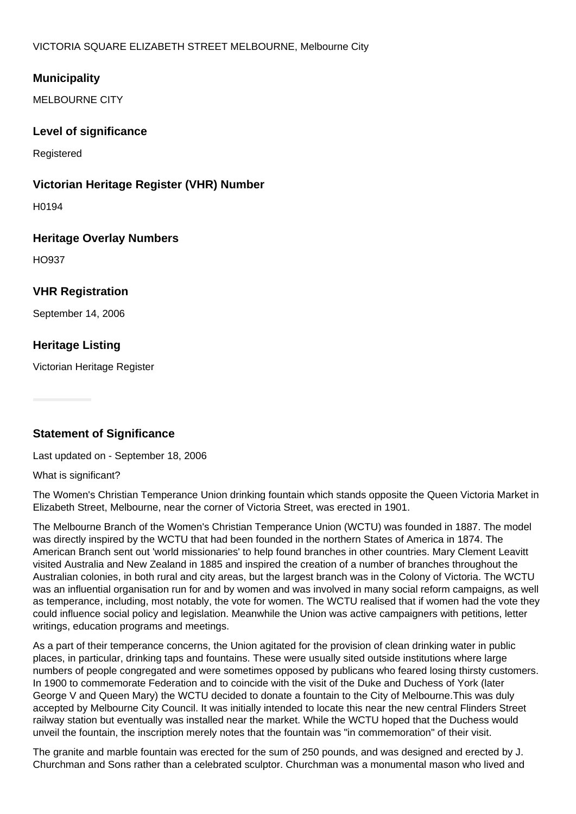# **Municipality**

MELBOURNE CITY

## **Level of significance**

**Registered** 

#### **Victorian Heritage Register (VHR) Number**

H0194

## **Heritage Overlay Numbers**

HO937

## **VHR Registration**

September 14, 2006

## **Heritage Listing**

Victorian Heritage Register

## **Statement of Significance**

Last updated on - September 18, 2006

#### What is significant?

The Women's Christian Temperance Union drinking fountain which stands opposite the Queen Victoria Market in Elizabeth Street, Melbourne, near the corner of Victoria Street, was erected in 1901.

The Melbourne Branch of the Women's Christian Temperance Union (WCTU) was founded in 1887. The model was directly inspired by the WCTU that had been founded in the northern States of America in 1874. The American Branch sent out 'world missionaries' to help found branches in other countries. Mary Clement Leavitt visited Australia and New Zealand in 1885 and inspired the creation of a number of branches throughout the Australian colonies, in both rural and city areas, but the largest branch was in the Colony of Victoria. The WCTU was an influential organisation run for and by women and was involved in many social reform campaigns, as well as temperance, including, most notably, the vote for women. The WCTU realised that if women had the vote they could influence social policy and legislation. Meanwhile the Union was active campaigners with petitions, letter writings, education programs and meetings.

As a part of their temperance concerns, the Union agitated for the provision of clean drinking water in public places, in particular, drinking taps and fountains. These were usually sited outside institutions where large numbers of people congregated and were sometimes opposed by publicans who feared losing thirsty customers. In 1900 to commemorate Federation and to coincide with the visit of the Duke and Duchess of York (later George V and Queen Mary) the WCTU decided to donate a fountain to the City of Melbourne.This was duly accepted by Melbourne City Council. It was initially intended to locate this near the new central Flinders Street railway station but eventually was installed near the market. While the WCTU hoped that the Duchess would unveil the fountain, the inscription merely notes that the fountain was "in commemoration" of their visit.

The granite and marble fountain was erected for the sum of 250 pounds, and was designed and erected by J. Churchman and Sons rather than a celebrated sculptor. Churchman was a monumental mason who lived and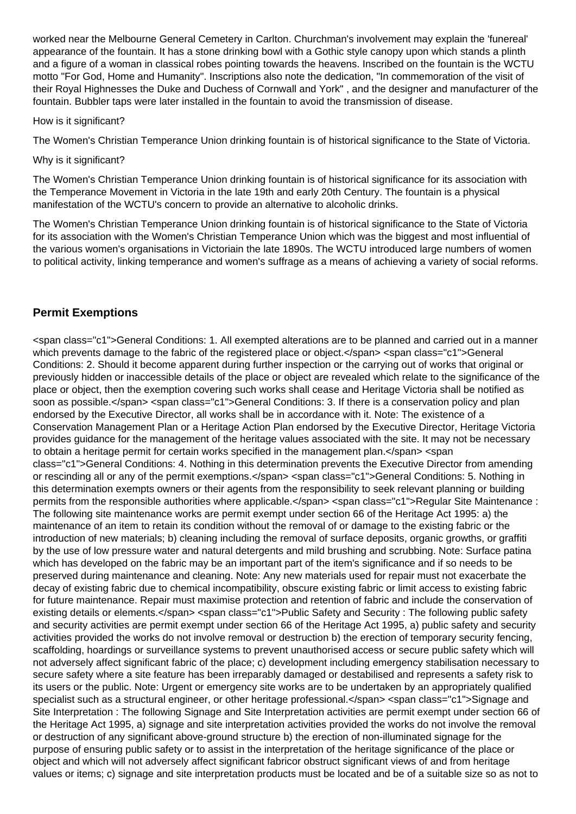worked near the Melbourne General Cemetery in Carlton. Churchman's involvement may explain the 'funereal' appearance of the fountain. It has a stone drinking bowl with a Gothic style canopy upon which stands a plinth and a figure of a woman in classical robes pointing towards the heavens. Inscribed on the fountain is the WCTU motto "For God, Home and Humanity". Inscriptions also note the dedication, "In commemoration of the visit of their Royal Highnesses the Duke and Duchess of Cornwall and York" , and the designer and manufacturer of the fountain. Bubbler taps were later installed in the fountain to avoid the transmission of disease.

#### How is it significant?

The Women's Christian Temperance Union drinking fountain is of historical significance to the State of Victoria.

#### Why is it significant?

The Women's Christian Temperance Union drinking fountain is of historical significance for its association with the Temperance Movement in Victoria in the late 19th and early 20th Century. The fountain is a physical manifestation of the WCTU's concern to provide an alternative to alcoholic drinks.

The Women's Christian Temperance Union drinking fountain is of historical significance to the State of Victoria for its association with the Women's Christian Temperance Union which was the biggest and most influential of the various women's organisations in Victoriain the late 1890s. The WCTU introduced large numbers of women to political activity, linking temperance and women's suffrage as a means of achieving a variety of social reforms.

# **Permit Exemptions**

<span class="c1">General Conditions: 1. All exempted alterations are to be planned and carried out in a manner which prevents damage to the fabric of the registered place or object.</span> <span class="c1">General Conditions: 2. Should it become apparent during further inspection or the carrying out of works that original or previously hidden or inaccessible details of the place or object are revealed which relate to the significance of the place or object, then the exemption covering such works shall cease and Heritage Victoria shall be notified as soon as possible.</span> <span class="c1">General Conditions: 3. If there is a conservation policy and plan endorsed by the Executive Director, all works shall be in accordance with it. Note: The existence of a Conservation Management Plan or a Heritage Action Plan endorsed by the Executive Director, Heritage Victoria provides guidance for the management of the heritage values associated with the site. It may not be necessary to obtain a heritage permit for certain works specified in the management plan.</span> <span class="c1">General Conditions: 4. Nothing in this determination prevents the Executive Director from amending or rescinding all or any of the permit exemptions.</span> <span class="c1">General Conditions: 5. Nothing in this determination exempts owners or their agents from the responsibility to seek relevant planning or building permits from the responsible authorities where applicable.</span> <span class="c1">Regular Site Maintenance : The following site maintenance works are permit exempt under section 66 of the Heritage Act 1995: a) the maintenance of an item to retain its condition without the removal of or damage to the existing fabric or the introduction of new materials; b) cleaning including the removal of surface deposits, organic growths, or graffiti by the use of low pressure water and natural detergents and mild brushing and scrubbing. Note: Surface patina which has developed on the fabric may be an important part of the item's significance and if so needs to be preserved during maintenance and cleaning. Note: Any new materials used for repair must not exacerbate the decay of existing fabric due to chemical incompatibility, obscure existing fabric or limit access to existing fabric for future maintenance. Repair must maximise protection and retention of fabric and include the conservation of existing details or elements.</span> <span class="c1">Public Safety and Security : The following public safety and security activities are permit exempt under section 66 of the Heritage Act 1995, a) public safety and security activities provided the works do not involve removal or destruction b) the erection of temporary security fencing, scaffolding, hoardings or surveillance systems to prevent unauthorised access or secure public safety which will not adversely affect significant fabric of the place; c) development including emergency stabilisation necessary to secure safety where a site feature has been irreparably damaged or destabilised and represents a safety risk to its users or the public. Note: Urgent or emergency site works are to be undertaken by an appropriately qualified specialist such as a structural engineer, or other heritage professional.</span> <span class="c1">Signage and Site Interpretation : The following Signage and Site Interpretation activities are permit exempt under section 66 of the Heritage Act 1995, a) signage and site interpretation activities provided the works do not involve the removal or destruction of any significant above-ground structure b) the erection of non-illuminated signage for the purpose of ensuring public safety or to assist in the interpretation of the heritage significance of the place or object and which will not adversely affect significant fabricor obstruct significant views of and from heritage values or items; c) signage and site interpretation products must be located and be of a suitable size so as not to